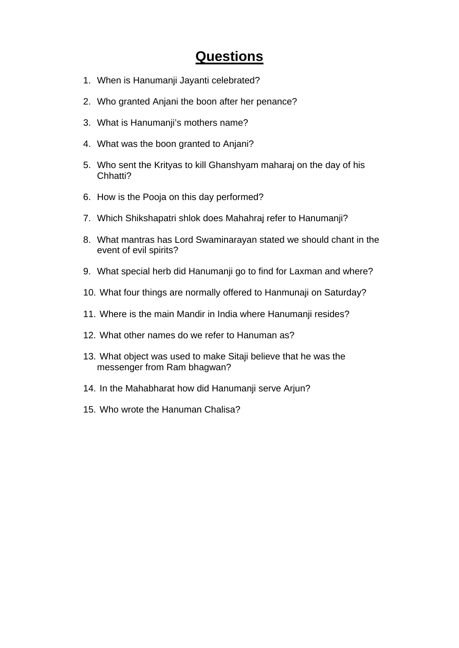## **Questions**

- 1. When is Hanumanji Jayanti celebrated?
- 2. Who granted Anjani the boon after her penance?
- 3. What is Hanumanji's mothers name?
- 4. What was the boon granted to Anjani?
- 5. Who sent the Krityas to kill Ghanshyam maharaj on the day of his Chhatti?
- 6. How is the Pooja on this day performed?
- 7. Which Shikshapatri shlok does Mahahraj refer to Hanumanji?
- 8. What mantras has Lord Swaminarayan stated we should chant in the event of evil spirits?
- 9. What special herb did Hanumanji go to find for Laxman and where?
- 10. What four things are normally offered to Hanmunaji on Saturday?
- 11. Where is the main Mandir in India where Hanumanji resides?
- 12. What other names do we refer to Hanuman as?
- 13. What object was used to make Sitaji believe that he was the messenger from Ram bhagwan?
- 14. In the Mahabharat how did Hanumanji serve Arjun?
- 15. Who wrote the Hanuman Chalisa?